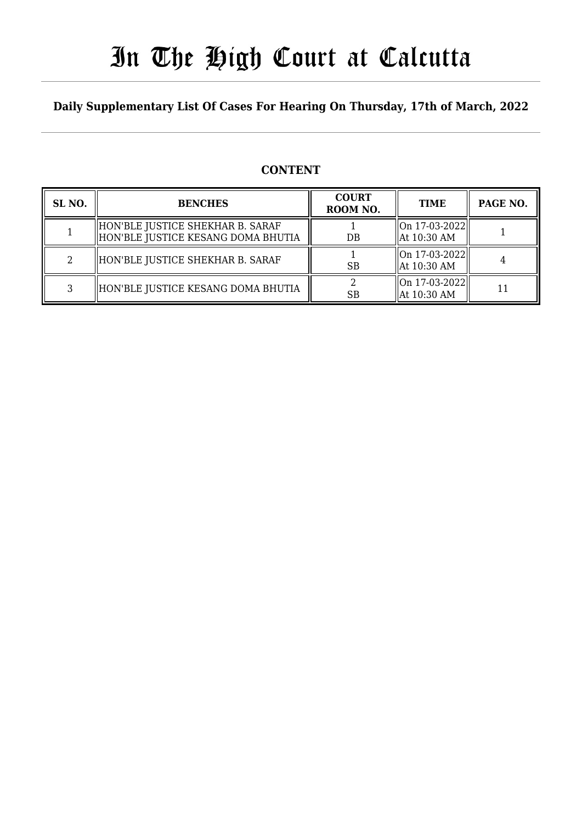# In The High Court at Calcutta

## **Daily Supplementary List Of Cases For Hearing On Thursday, 17th of March, 2022**

## **CONTENT**

| SL <sub>NO</sub> . | <b>BENCHES</b>                                                         | <b>COURT</b><br>ROOM NO. | <b>TIME</b>                          | PAGE NO. |
|--------------------|------------------------------------------------------------------------|--------------------------|--------------------------------------|----------|
|                    | HON'BLE JUSTICE SHEKHAR B. SARAF<br>HON'BLE JUSTICE KESANG DOMA BHUTIA | DB                       | $  On 17-03-2022  $<br>  At 10:30 AM |          |
|                    | HON'BLE JUSTICE SHEKHAR B. SARAF                                       | <b>SB</b>                | On 17-03-2022  <br>  At 10:30 AM     |          |
|                    | HON'BLE JUSTICE KESANG DOMA BHUTIA                                     | <b>SB</b>                | On 17-03-2022  <br>  At 10:30 AM     |          |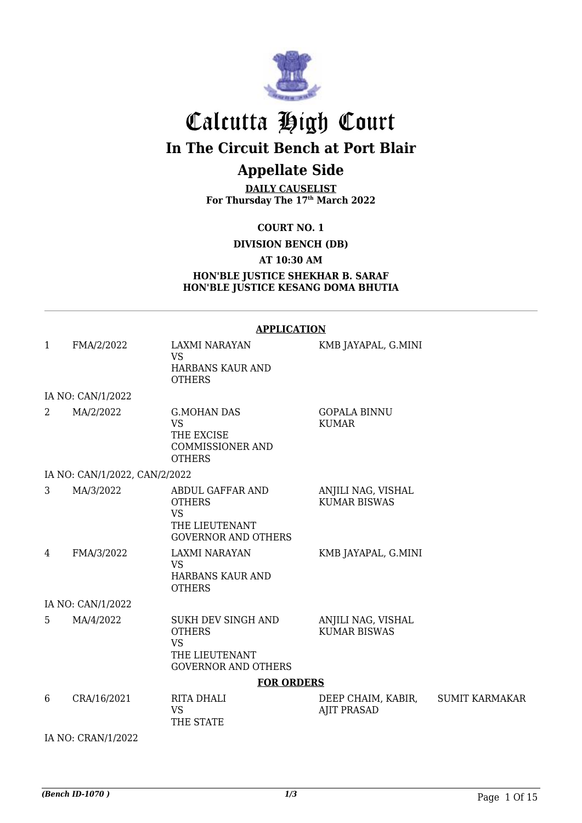

# Calcutta High Court **In The Circuit Bench at Port Blair**

# **Appellate Side**

**DAILY CAUSELIST For Thursday The 17th March 2022**

**COURT NO. 1**

**DIVISION BENCH (DB)**

**AT 10:30 AM**

**HON'BLE JUSTICE SHEKHAR B. SARAF HON'BLE JUSTICE KESANG DOMA BHUTIA**

#### **APPLICATION**

| $\mathbf{1}$   | FMA/2/2022                    | <b>LAXMI NARAYAN</b><br><b>VS</b>                                                              | KMB JAYAPAL, G.MINI                       |                       |
|----------------|-------------------------------|------------------------------------------------------------------------------------------------|-------------------------------------------|-----------------------|
|                |                               | HARBANS KAUR AND<br><b>OTHERS</b>                                                              |                                           |                       |
|                | IA NO: CAN/1/2022             |                                                                                                |                                           |                       |
| $\overline{2}$ | MA/2/2022                     | <b>G.MOHAN DAS</b><br><b>VS</b><br>THE EXCISE<br><b>COMMISSIONER AND</b><br><b>OTHERS</b>      | <b>GOPALA BINNU</b><br><b>KUMAR</b>       |                       |
|                | IA NO: CAN/1/2022, CAN/2/2022 |                                                                                                |                                           |                       |
| 3              | MA/3/2022                     | ABDUL GAFFAR AND<br><b>OTHERS</b><br><b>VS</b><br>THE LIEUTENANT<br><b>GOVERNOR AND OTHERS</b> | ANJILI NAG, VISHAL<br><b>KUMAR BISWAS</b> |                       |
| 4              | FMA/3/2022                    | LAXMI NARAYAN<br><b>VS</b><br>HARBANS KAUR AND<br><b>OTHERS</b>                                | KMB JAYAPAL, G.MINI                       |                       |
|                | IA NO: CAN/1/2022             |                                                                                                |                                           |                       |
| 5              | MA/4/2022                     | SUKH DEV SINGH AND<br><b>OTHERS</b><br>VS<br>THE LIEUTENANT<br><b>GOVERNOR AND OTHERS</b>      | ANJILI NAG, VISHAL<br><b>KUMAR BISWAS</b> |                       |
|                |                               | <b>FOR ORDERS</b>                                                                              |                                           |                       |
| 6              | CRA/16/2021                   | RITA DHALI<br><b>VS</b><br>THE STATE                                                           | DEEP CHAIM, KABIR,<br><b>AJIT PRASAD</b>  | <b>SUMIT KARMAKAR</b> |
|                | IA NO: CRAN/1/2022            |                                                                                                |                                           |                       |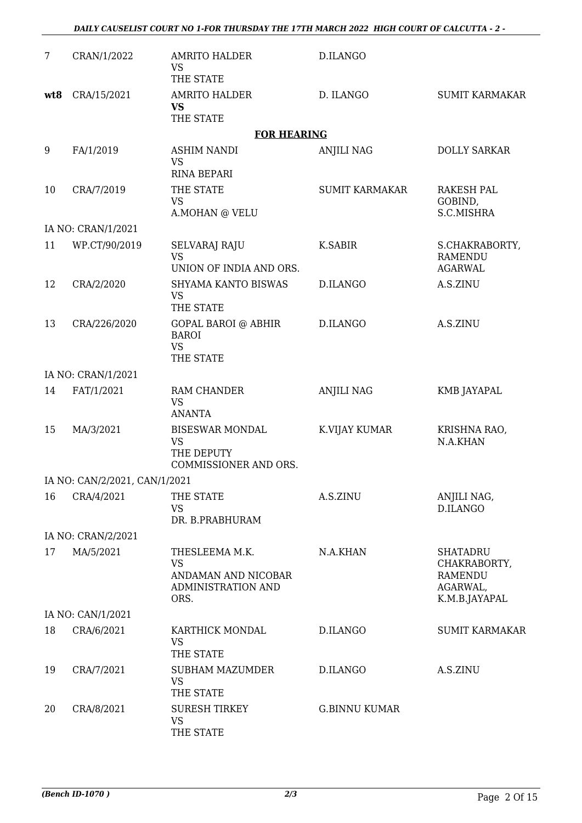*DAILY CAUSELIST COURT NO 1-FOR THURSDAY THE 17TH MARCH 2022 HIGH COURT OF CALCUTTA - 2 -* 

| 7   | CRAN/1/2022                   | <b>AMRITO HALDER</b><br><b>VS</b><br>THE STATE                                   | D.ILANGO              |                                                                                |
|-----|-------------------------------|----------------------------------------------------------------------------------|-----------------------|--------------------------------------------------------------------------------|
| wt8 | CRA/15/2021                   | <b>AMRITO HALDER</b><br><b>VS</b><br>THE STATE                                   | D. ILANGO             | <b>SUMIT KARMAKAR</b>                                                          |
|     |                               | <b>FOR HEARING</b>                                                               |                       |                                                                                |
| 9   | FA/1/2019                     | <b>ASHIM NANDI</b><br><b>VS</b><br><b>RINA BEPARI</b>                            | <b>ANJILI NAG</b>     | <b>DOLLY SARKAR</b>                                                            |
| 10  | CRA/7/2019                    | THE STATE<br><b>VS</b><br>A.MOHAN @ VELU                                         | <b>SUMIT KARMAKAR</b> | <b>RAKESH PAL</b><br>GOBIND,<br>S.C.MISHRA                                     |
|     | IA NO: CRAN/1/2021            |                                                                                  |                       |                                                                                |
| 11  | WP.CT/90/2019                 | SELVARAJ RAJU<br><b>VS</b><br>UNION OF INDIA AND ORS.                            | <b>K.SABIR</b>        | S.CHAKRABORTY,<br><b>RAMENDU</b><br><b>AGARWAL</b>                             |
| 12  | CRA/2/2020                    | SHYAMA KANTO BISWAS<br><b>VS</b><br>THE STATE                                    | D.ILANGO              | A.S.ZINU                                                                       |
| 13  | CRA/226/2020                  | <b>GOPAL BAROI @ ABHIR</b><br><b>BAROI</b><br><b>VS</b><br>THE STATE             | D.ILANGO              | A.S.ZINU                                                                       |
|     | IA NO: CRAN/1/2021            |                                                                                  |                       |                                                                                |
| 14  | FAT/1/2021                    | RAM CHANDER<br><b>VS</b><br><b>ANANTA</b>                                        | <b>ANJILI NAG</b>     | KMB JAYAPAL                                                                    |
| 15  | MA/3/2021                     | <b>BISESWAR MONDAL</b><br><b>VS</b><br>THE DEPUTY<br>COMMISSIONER AND ORS.       | K.VIJAY KUMAR         | KRISHNA RAO,<br>N.A.KHAN                                                       |
|     | IA NO: CAN/2/2021, CAN/1/2021 |                                                                                  |                       |                                                                                |
| 16  | CRA/4/2021                    | THE STATE<br><b>VS</b><br>DR. B.PRABHURAM                                        | A.S.ZINU              | ANJILI NAG,<br>D.ILANGO                                                        |
|     | IA NO: CRAN/2/2021            |                                                                                  |                       |                                                                                |
| 17  | MA/5/2021                     | THESLEEMA M.K.<br><b>VS</b><br>ANDAMAN AND NICOBAR<br>ADMINISTRATION AND<br>ORS. | N.A.KHAN              | <b>SHATADRU</b><br>CHAKRABORTY,<br><b>RAMENDU</b><br>AGARWAL,<br>K.M.B.JAYAPAL |
|     | IA NO: CAN/1/2021             |                                                                                  |                       |                                                                                |
| 18  | CRA/6/2021                    | KARTHICK MONDAL<br><b>VS</b><br>THE STATE                                        | D.ILANGO              | <b>SUMIT KARMAKAR</b>                                                          |
| 19  | CRA/7/2021                    | <b>SUBHAM MAZUMDER</b><br><b>VS</b><br>THE STATE                                 | D.ILANGO              | A.S.ZINU                                                                       |
| 20  | CRA/8/2021                    | <b>SURESH TIRKEY</b><br><b>VS</b><br>THE STATE                                   | <b>G.BINNU KUMAR</b>  |                                                                                |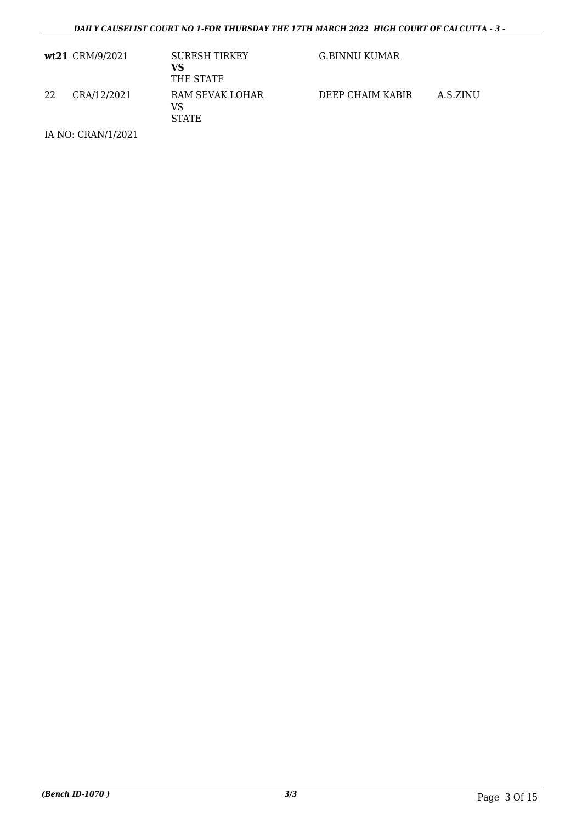|    | wt21 CRM/9/2021 | <b>SURESH TIRKEY</b><br>VS<br>THE STATE | G.BINNU KUMAR    |          |
|----|-----------------|-----------------------------------------|------------------|----------|
| 22 | CRA/12/2021     | RAM SEVAK LOHAR<br>VS<br><b>STATE</b>   | DEEP CHAIM KABIR | A.S.ZINU |

IA NO: CRAN/1/2021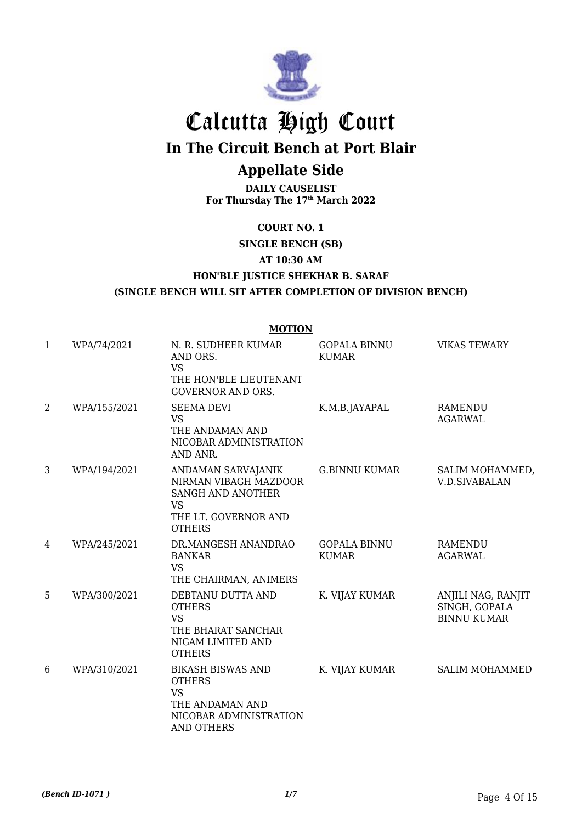

# Calcutta High Court

**In The Circuit Bench at Port Blair**

# **Appellate Side**

**DAILY CAUSELIST For Thursday The 17th March 2022**

#### **COURT NO. 1**

**SINGLE BENCH (SB) AT 10:30 AM HON'BLE JUSTICE SHEKHAR B. SARAF**

## **(SINGLE BENCH WILL SIT AFTER COMPLETION OF DIVISION BENCH)**

|              | <b>MOTION</b> |                                                                                                                          |                                     |                                                           |  |  |
|--------------|---------------|--------------------------------------------------------------------------------------------------------------------------|-------------------------------------|-----------------------------------------------------------|--|--|
| $\mathbf{1}$ | WPA/74/2021   | N. R. SUDHEER KUMAR<br>AND ORS.<br><b>VS</b><br>THE HON'BLE LIEUTENANT<br><b>GOVERNOR AND ORS.</b>                       | <b>GOPALA BINNU</b><br><b>KUMAR</b> | <b>VIKAS TEWARY</b>                                       |  |  |
| 2            | WPA/155/2021  | <b>SEEMA DEVI</b><br><b>VS</b><br>THE ANDAMAN AND<br>NICOBAR ADMINISTRATION<br>AND ANR.                                  | K.M.B.JAYAPAL                       | <b>RAMENDU</b><br><b>AGARWAL</b>                          |  |  |
| 3            | WPA/194/2021  | ANDAMAN SARVAJANIK<br>NIRMAN VIBAGH MAZDOOR<br>SANGH AND ANOTHER<br><b>VS</b><br>THE LT. GOVERNOR AND<br><b>OTHERS</b>   | <b>G.BINNU KUMAR</b>                | SALIM MOHAMMED,<br><b>V.D.SIVABALAN</b>                   |  |  |
| 4            | WPA/245/2021  | DR.MANGESH ANANDRAO<br><b>BANKAR</b><br><b>VS</b><br>THE CHAIRMAN, ANIMERS                                               | <b>GOPALA BINNU</b><br><b>KUMAR</b> | RAMENDU<br><b>AGARWAL</b>                                 |  |  |
| 5            | WPA/300/2021  | DEBTANU DUTTA AND<br><b>OTHERS</b><br><b>VS</b><br>THE BHARAT SANCHAR<br>NIGAM LIMITED AND<br><b>OTHERS</b>              | K. VIJAY KUMAR                      | ANJILI NAG, RANJIT<br>SINGH, GOPALA<br><b>BINNU KUMAR</b> |  |  |
| 6            | WPA/310/2021  | <b>BIKASH BISWAS AND</b><br><b>OTHERS</b><br><b>VS</b><br>THE ANDAMAN AND<br>NICOBAR ADMINISTRATION<br><b>AND OTHERS</b> | K. VIJAY KUMAR                      | <b>SALIM MOHAMMED</b>                                     |  |  |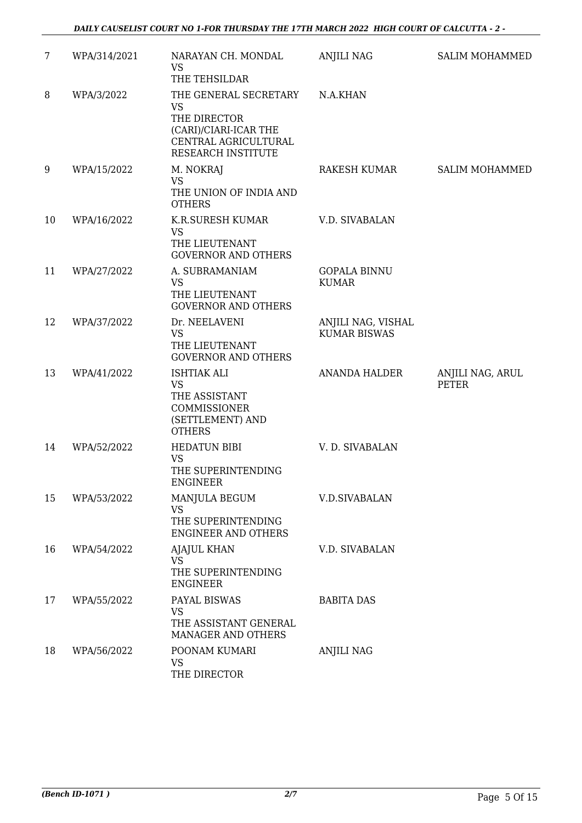| $\overline{7}$ | WPA/314/2021 | NARAYAN CH. MONDAL<br><b>VS</b>                                                                                                            | <b>ANJILI NAG</b>                         | <b>SALIM MOHAMMED</b>     |
|----------------|--------------|--------------------------------------------------------------------------------------------------------------------------------------------|-------------------------------------------|---------------------------|
| 8              | WPA/3/2022   | THE TEHSILDAR<br>THE GENERAL SECRETARY<br><b>VS</b><br>THE DIRECTOR<br>(CARI)/CIARI-ICAR THE<br>CENTRAL AGRICULTURAL<br>RESEARCH INSTITUTE | N.A.KHAN                                  |                           |
| 9              | WPA/15/2022  | M. NOKRAJ<br><b>VS</b><br>THE UNION OF INDIA AND<br><b>OTHERS</b>                                                                          | RAKESH KUMAR                              | <b>SALIM MOHAMMED</b>     |
| 10             | WPA/16/2022  | K.R.SURESH KUMAR<br><b>VS</b><br>THE LIEUTENANT<br><b>GOVERNOR AND OTHERS</b>                                                              | V.D. SIVABALAN                            |                           |
| 11             | WPA/27/2022  | A. SUBRAMANIAM<br><b>VS</b><br>THE LIEUTENANT<br><b>GOVERNOR AND OTHERS</b>                                                                | <b>GOPALA BINNU</b><br><b>KUMAR</b>       |                           |
| 12             | WPA/37/2022  | Dr. NEELAVENI<br><b>VS</b><br>THE LIEUTENANT<br><b>GOVERNOR AND OTHERS</b>                                                                 | ANJILI NAG, VISHAL<br><b>KUMAR BISWAS</b> |                           |
| 13             | WPA/41/2022  | <b>ISHTIAK ALI</b><br><b>VS</b><br>THE ASSISTANT<br>COMMISSIONER<br>(SETTLEMENT) AND<br><b>OTHERS</b>                                      | <b>ANANDA HALDER</b>                      | ANJILI NAG, ARUL<br>PETER |
| 14             | WPA/52/2022  | <b>HEDATUN BIBI</b><br><b>VS</b><br>THE SUPERINTENDING<br><b>ENGINEER</b>                                                                  | V. D. SIVABALAN                           |                           |
| 15             | WPA/53/2022  | MANJULA BEGUM<br><b>VS</b><br>THE SUPERINTENDING<br><b>ENGINEER AND OTHERS</b>                                                             | <b>V.D.SIVABALAN</b>                      |                           |
| 16             | WPA/54/2022  | <b>AJAJUL KHAN</b><br>VS<br>THE SUPERINTENDING<br><b>ENGINEER</b>                                                                          | V.D. SIVABALAN                            |                           |
| 17             | WPA/55/2022  | PAYAL BISWAS<br><b>VS</b><br>THE ASSISTANT GENERAL<br>MANAGER AND OTHERS                                                                   | <b>BABITA DAS</b>                         |                           |
| 18             | WPA/56/2022  | POONAM KUMARI<br><b>VS</b><br>THE DIRECTOR                                                                                                 | <b>ANJILI NAG</b>                         |                           |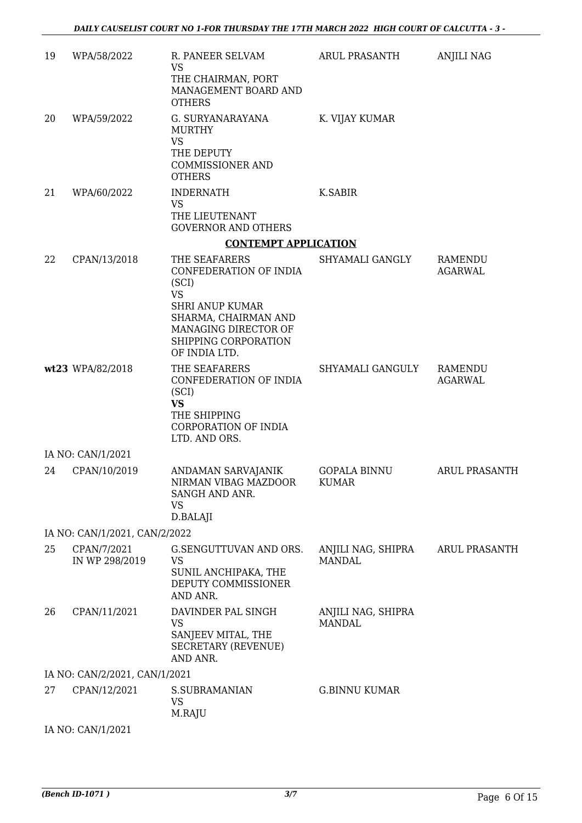| 19 | WPA/58/2022                   | R. PANEER SELVAM<br><b>VS</b><br>THE CHAIRMAN, PORT<br>MANAGEMENT BOARD AND<br><b>OTHERS</b>                                                                                     | ARUL PRASANTH                       | <b>ANJILI NAG</b>         |
|----|-------------------------------|----------------------------------------------------------------------------------------------------------------------------------------------------------------------------------|-------------------------------------|---------------------------|
| 20 | WPA/59/2022                   | G. SURYANARAYANA<br><b>MURTHY</b><br><b>VS</b><br>THE DEPUTY<br><b>COMMISSIONER AND</b><br><b>OTHERS</b>                                                                         | K. VIJAY KUMAR                      |                           |
| 21 | WPA/60/2022                   | <b>INDERNATH</b><br><b>VS</b><br>THE LIEUTENANT<br><b>GOVERNOR AND OTHERS</b>                                                                                                    | K.SABIR                             |                           |
|    |                               | <b>CONTEMPT APPLICATION</b>                                                                                                                                                      |                                     |                           |
| 22 | CPAN/13/2018                  | THE SEAFARERS<br>CONFEDERATION OF INDIA<br>(SCI)<br><b>VS</b><br><b>SHRI ANUP KUMAR</b><br>SHARMA, CHAIRMAN AND<br>MANAGING DIRECTOR OF<br>SHIPPING CORPORATION<br>OF INDIA LTD. | SHYAMALI GANGLY                     | RAMENDU<br><b>AGARWAL</b> |
|    | wt23 WPA/82/2018              | THE SEAFARERS<br>CONFEDERATION OF INDIA<br>(SCI)<br><b>VS</b><br>THE SHIPPING<br>CORPORATION OF INDIA<br>LTD. AND ORS.                                                           | SHYAMALI GANGULY                    | RAMENDU<br><b>AGARWAL</b> |
|    | IA NO: CAN/1/2021             |                                                                                                                                                                                  |                                     |                           |
| 24 | CPAN/10/2019                  | ANDAMAN SARVAJANIK<br>NIRMAN VIBAG MAZDOOR<br>SANGH AND ANR.<br><b>VS</b><br>D.BALAJI                                                                                            | <b>GOPALA BINNU</b><br><b>KUMAR</b> | <b>ARUL PRASANTH</b>      |
|    | IA NO: CAN/1/2021, CAN/2/2022 |                                                                                                                                                                                  |                                     |                           |
| 25 | CPAN/7/2021<br>IN WP 298/2019 | G.SENGUTTUVAN AND ORS.<br><b>VS</b><br>SUNIL ANCHIPAKA, THE<br>DEPUTY COMMISSIONER<br>AND ANR.                                                                                   | ANJILI NAG, SHIPRA<br><b>MANDAL</b> | <b>ARUL PRASANTH</b>      |
| 26 | CPAN/11/2021                  | DAVINDER PAL SINGH<br><b>VS</b><br>SANJEEV MITAL, THE<br><b>SECRETARY (REVENUE)</b><br>AND ANR.                                                                                  | ANJILI NAG, SHIPRA<br><b>MANDAL</b> |                           |
|    | IA NO: CAN/2/2021, CAN/1/2021 |                                                                                                                                                                                  |                                     |                           |
| 27 | CPAN/12/2021                  | <b>S.SUBRAMANIAN</b><br><b>VS</b><br>M.RAJU                                                                                                                                      | <b>G.BINNU KUMAR</b>                |                           |
|    | IA NO: CAN/1/2021             |                                                                                                                                                                                  |                                     |                           |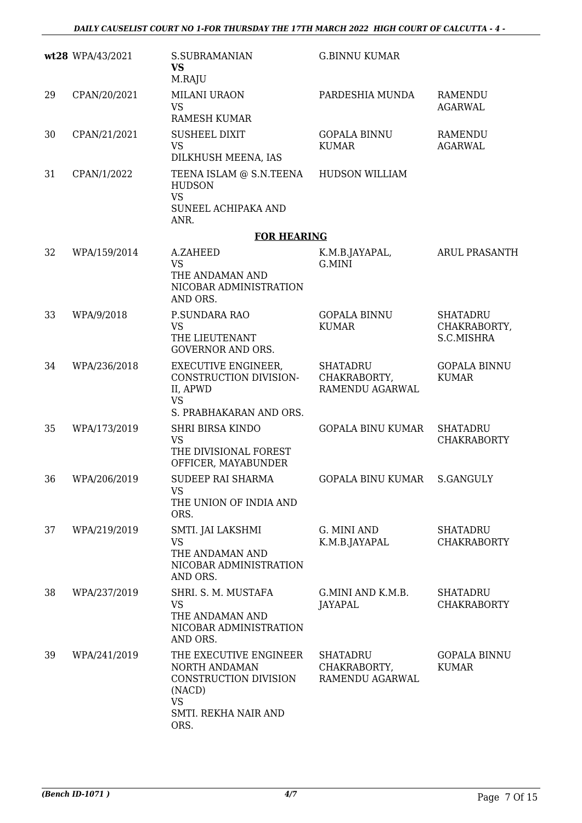|    | wt28 WPA/43/2021 | <b>S.SUBRAMANIAN</b><br><b>VS</b><br>M.RAJU                                                                             | <b>G.BINNU KUMAR</b>                        |                                               |
|----|------------------|-------------------------------------------------------------------------------------------------------------------------|---------------------------------------------|-----------------------------------------------|
| 29 | CPAN/20/2021     | MILANI URAON<br><b>VS</b><br><b>RAMESH KUMAR</b>                                                                        | PARDESHIA MUNDA                             | <b>RAMENDU</b><br><b>AGARWAL</b>              |
| 30 | CPAN/21/2021     | <b>SUSHEEL DIXIT</b><br><b>VS</b><br>DILKHUSH MEENA, IAS                                                                | <b>GOPALA BINNU</b><br><b>KUMAR</b>         | RAMENDU<br><b>AGARWAL</b>                     |
| 31 | CPAN/1/2022      | TEENA ISLAM @ S.N.TEENA<br><b>HUDSON</b><br><b>VS</b><br>SUNEEL ACHIPAKA AND<br>ANR.                                    | <b>HUDSON WILLIAM</b>                       |                                               |
|    |                  | <b>FOR HEARING</b>                                                                                                      |                                             |                                               |
| 32 | WPA/159/2014     | A.ZAHEED<br><b>VS</b><br>THE ANDAMAN AND<br>NICOBAR ADMINISTRATION<br>AND ORS.                                          | K.M.B.JAYAPAL,<br>G.MINI                    | <b>ARUL PRASANTH</b>                          |
| 33 | WPA/9/2018       | P.SUNDARA RAO<br><b>VS</b><br>THE LIEUTENANT<br><b>GOVERNOR AND ORS.</b>                                                | <b>GOPALA BINNU</b><br><b>KUMAR</b>         | <b>SHATADRU</b><br>CHAKRABORTY,<br>S.C.MISHRA |
| 34 | WPA/236/2018     | <b>EXECUTIVE ENGINEER,</b><br>CONSTRUCTION DIVISION-<br>II, APWD<br><b>VS</b><br>S. PRABHAKARAN AND ORS.                | SHATADRU<br>CHAKRABORTY,<br>RAMENDU AGARWAL | <b>GOPALA BINNU</b><br><b>KUMAR</b>           |
| 35 | WPA/173/2019     | <b>SHRI BIRSA KINDO</b><br><b>VS</b><br>THE DIVISIONAL FOREST<br>OFFICER, MAYABUNDER                                    | <b>GOPALA BINU KUMAR</b>                    | <b>SHATADRU</b><br><b>CHAKRABORTY</b>         |
| 36 | WPA/206/2019     | SUDEEP RAI SHARMA<br><b>VS</b><br>THE UNION OF INDIA AND<br>ORS.                                                        | GOPALA BINU KUMAR S.GANGULY                 |                                               |
| 37 | WPA/219/2019     | SMTI. JAI LAKSHMI<br><b>VS</b><br>THE ANDAMAN AND<br>NICOBAR ADMINISTRATION<br>AND ORS.                                 | G. MINI AND<br>K.M.B.JAYAPAL                | <b>SHATADRU</b><br><b>CHAKRABORTY</b>         |
| 38 | WPA/237/2019     | SHRI. S. M. MUSTAFA<br><b>VS</b><br>THE ANDAMAN AND<br>NICOBAR ADMINISTRATION<br>AND ORS.                               | G.MINI AND K.M.B.<br><b>JAYAPAL</b>         | <b>SHATADRU</b><br><b>CHAKRABORTY</b>         |
| 39 | WPA/241/2019     | THE EXECUTIVE ENGINEER<br>NORTH ANDAMAN<br>CONSTRUCTION DIVISION<br>(NACD)<br><b>VS</b><br>SMTI. REKHA NAIR AND<br>ORS. | SHATADRU<br>CHAKRABORTY,<br>RAMENDU AGARWAL | <b>GOPALA BINNU</b><br><b>KUMAR</b>           |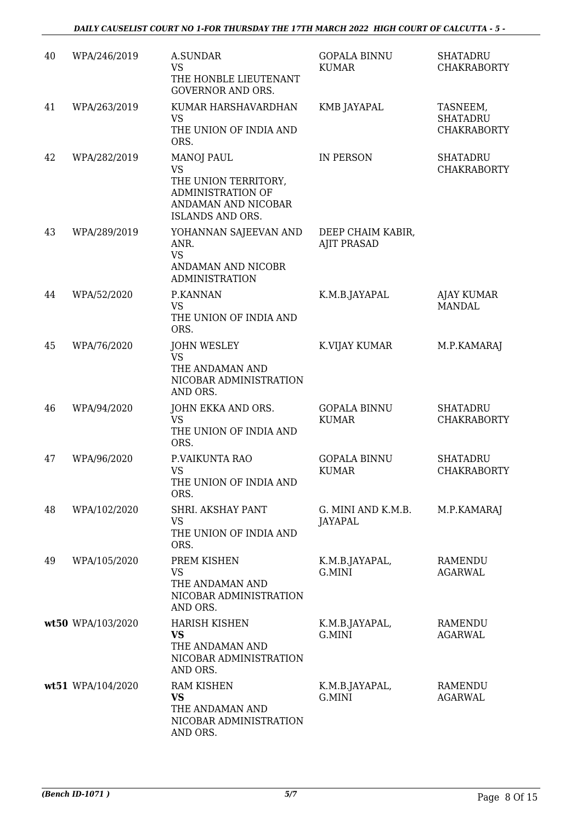| 40 | WPA/246/2019      | <b>A.SUNDAR</b><br><b>VS</b><br>THE HONBLE LIEUTENANT<br><b>GOVERNOR AND ORS.</b>                                      | <b>GOPALA BINNU</b><br><b>KUMAR</b>     | <b>SHATADRU</b><br><b>CHAKRABORTY</b>             |
|----|-------------------|------------------------------------------------------------------------------------------------------------------------|-----------------------------------------|---------------------------------------------------|
| 41 | WPA/263/2019      | KUMAR HARSHAVARDHAN<br><b>VS</b><br>THE UNION OF INDIA AND<br>ORS.                                                     | KMB JAYAPAL                             | TASNEEM,<br><b>SHATADRU</b><br><b>CHAKRABORTY</b> |
| 42 | WPA/282/2019      | <b>MANOJ PAUL</b><br><b>VS</b><br>THE UNION TERRITORY,<br>ADMINISTRATION OF<br>ANDAMAN AND NICOBAR<br>ISLANDS AND ORS. | IN PERSON                               | <b>SHATADRU</b><br><b>CHAKRABORTY</b>             |
| 43 | WPA/289/2019      | YOHANNAN SAJEEVAN AND<br>ANR.<br><b>VS</b><br>ANDAMAN AND NICOBR<br><b>ADMINISTRATION</b>                              | DEEP CHAIM KABIR,<br><b>AJIT PRASAD</b> |                                                   |
| 44 | WPA/52/2020       | P.KANNAN<br><b>VS</b><br>THE UNION OF INDIA AND<br>ORS.                                                                | K.M.B.JAYAPAL                           | <b>AJAY KUMAR</b><br><b>MANDAL</b>                |
| 45 | WPA/76/2020       | <b>JOHN WESLEY</b><br><b>VS</b><br>THE ANDAMAN AND<br>NICOBAR ADMINISTRATION<br>AND ORS.                               | K.VIJAY KUMAR                           | M.P.KAMARAJ                                       |
| 46 | WPA/94/2020       | JOHN EKKA AND ORS.<br><b>VS</b><br>THE UNION OF INDIA AND<br>ORS.                                                      | <b>GOPALA BINNU</b><br><b>KUMAR</b>     | <b>SHATADRU</b><br><b>CHAKRABORTY</b>             |
| 47 | WPA/96/2020       | P.VAIKUNTA RAO<br><b>VS</b><br>THE UNION OF INDIA AND<br>ORS.                                                          | <b>GOPALA BINNU</b><br><b>KUMAR</b>     | <b>SHATADRU</b><br><b>CHAKRABORTY</b>             |
| 48 | WPA/102/2020      | SHRI. AKSHAY PANT<br><b>VS</b><br>THE UNION OF INDIA AND<br>ORS.                                                       | G. MINI AND K.M.B.<br><b>JAYAPAL</b>    | M.P.KAMARAJ                                       |
| 49 | WPA/105/2020      | PREM KISHEN<br><b>VS</b><br>THE ANDAMAN AND<br>NICOBAR ADMINISTRATION<br>AND ORS.                                      | K.M.B.JAYAPAL,<br>G.MINI                | RAMENDU<br><b>AGARWAL</b>                         |
|    | wt50 WPA/103/2020 | <b>HARISH KISHEN</b><br>VS<br>THE ANDAMAN AND<br>NICOBAR ADMINISTRATION<br>AND ORS.                                    | K.M.B.JAYAPAL,<br>G.MINI                | RAMENDU<br>AGARWAL                                |
|    | wt51 WPA/104/2020 | <b>RAM KISHEN</b><br><b>VS</b><br>THE ANDAMAN AND<br>NICOBAR ADMINISTRATION<br>AND ORS.                                | K.M.B.JAYAPAL,<br>G.MINI                | RAMENDU<br><b>AGARWAL</b>                         |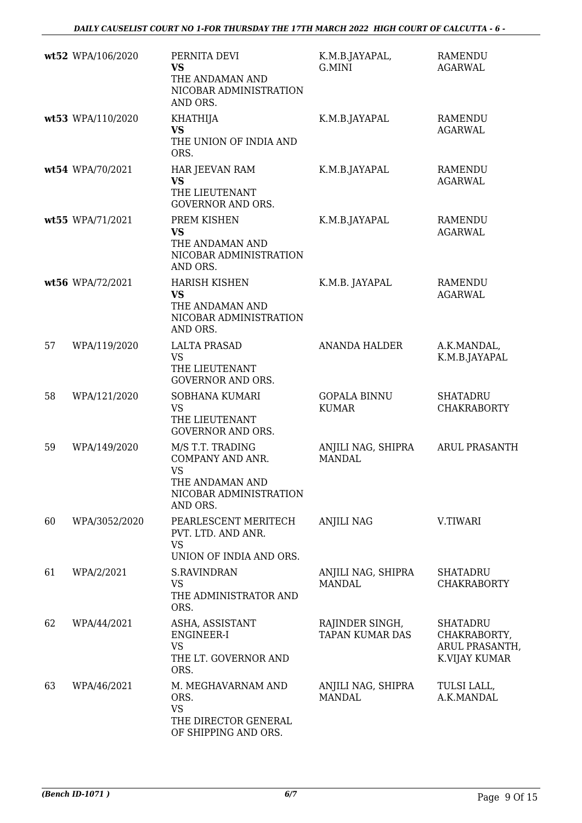|    | wt52 WPA/106/2020 | PERNITA DEVI<br><b>VS</b><br>THE ANDAMAN AND<br>NICOBAR ADMINISTRATION<br>AND ORS.                         | K.M.B.JAYAPAL,<br>G.MINI                  | <b>RAMENDU</b><br><b>AGARWAL</b>                                   |
|----|-------------------|------------------------------------------------------------------------------------------------------------|-------------------------------------------|--------------------------------------------------------------------|
|    | wt53 WPA/110/2020 | <b>KHATHIJA</b><br><b>VS</b><br>THE UNION OF INDIA AND<br>ORS.                                             | K.M.B.JAYAPAL                             | <b>RAMENDU</b><br><b>AGARWAL</b>                                   |
|    | wt54 WPA/70/2021  | HAR JEEVAN RAM<br><b>VS</b><br>THE LIEUTENANT<br><b>GOVERNOR AND ORS.</b>                                  | K.M.B.JAYAPAL                             | RAMENDU<br><b>AGARWAL</b>                                          |
|    | wt55 WPA/71/2021  | PREM KISHEN<br><b>VS</b><br>THE ANDAMAN AND<br>NICOBAR ADMINISTRATION<br>AND ORS.                          | K.M.B.JAYAPAL                             | <b>RAMENDU</b><br><b>AGARWAL</b>                                   |
|    | wt56 WPA/72/2021  | <b>HARISH KISHEN</b><br><b>VS</b><br>THE ANDAMAN AND<br>NICOBAR ADMINISTRATION<br>AND ORS.                 | K.M.B. JAYAPAL                            | <b>RAMENDU</b><br><b>AGARWAL</b>                                   |
| 57 | WPA/119/2020      | <b>LALTA PRASAD</b><br><b>VS</b><br>THE LIEUTENANT<br><b>GOVERNOR AND ORS.</b>                             | <b>ANANDA HALDER</b>                      | A.K.MANDAL,<br>K.M.B.JAYAPAL                                       |
| 58 | WPA/121/2020      | SOBHANA KUMARI<br><b>VS</b><br>THE LIEUTENANT<br><b>GOVERNOR AND ORS.</b>                                  | <b>GOPALA BINNU</b><br><b>KUMAR</b>       | <b>SHATADRU</b><br><b>CHAKRABORTY</b>                              |
| 59 | WPA/149/2020      | M/S T.T. TRADING<br>COMPANY AND ANR.<br><b>VS</b><br>THE ANDAMAN AND<br>NICOBAR ADMINISTRATION<br>AND ORS. | ANJILI NAG, SHIPRA<br><b>MANDAL</b>       | <b>ARUL PRASANTH</b>                                               |
| 60 | WPA/3052/2020     | PEARLESCENT MERITECH<br>PVT. LTD. AND ANR.<br><b>VS</b><br>UNION OF INDIA AND ORS.                         | <b>ANJILI NAG</b>                         | V.TIWARI                                                           |
| 61 | WPA/2/2021        | <b>S.RAVINDRAN</b><br><b>VS</b><br>THE ADMINISTRATOR AND<br>ORS.                                           | ANJILI NAG, SHIPRA<br><b>MANDAL</b>       | <b>SHATADRU</b><br><b>CHAKRABORTY</b>                              |
| 62 | WPA/44/2021       | ASHA, ASSISTANT<br>ENGINEER-I<br><b>VS</b><br>THE LT. GOVERNOR AND<br>ORS.                                 | RAJINDER SINGH,<br><b>TAPAN KUMAR DAS</b> | <b>SHATADRU</b><br>CHAKRABORTY,<br>ARUL PRASANTH,<br>K.VIJAY KUMAR |
| 63 | WPA/46/2021       | M. MEGHAVARNAM AND<br>ORS.<br><b>VS</b><br>THE DIRECTOR GENERAL<br>OF SHIPPING AND ORS.                    | ANJILI NAG, SHIPRA<br><b>MANDAL</b>       | TULSI LALL,<br>A.K.MANDAL                                          |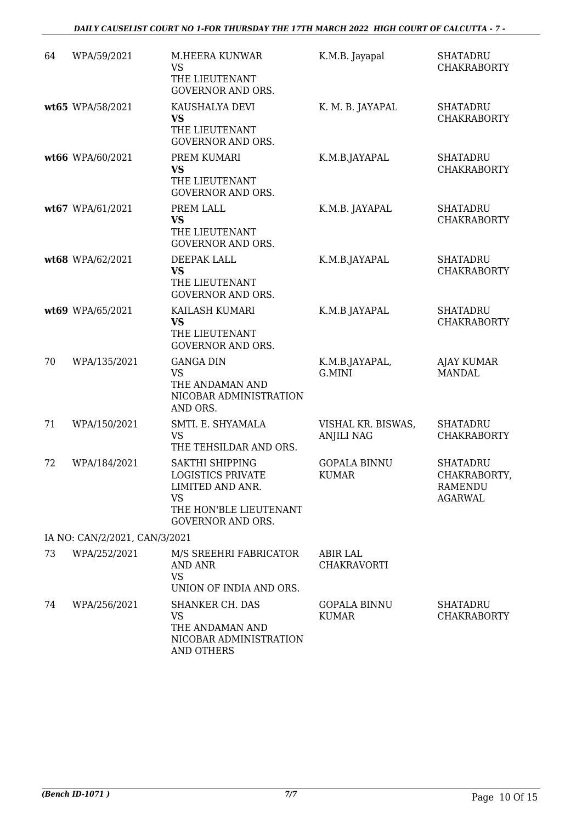| 64 | WPA/59/2021                   | <b>M.HEERA KUNWAR</b><br><b>VS</b><br>THE LIEUTENANT<br><b>GOVERNOR AND ORS.</b>                                                   | K.M.B. Jayapal                          | <b>SHATADRU</b><br><b>CHAKRABORTY</b>                        |
|----|-------------------------------|------------------------------------------------------------------------------------------------------------------------------------|-----------------------------------------|--------------------------------------------------------------|
|    | wt65 WPA/58/2021              | KAUSHALYA DEVI<br><b>VS</b><br>THE LIEUTENANT<br><b>GOVERNOR AND ORS.</b>                                                          | K. M. B. JAYAPAL                        | <b>SHATADRU</b><br><b>CHAKRABORTY</b>                        |
|    | wt66 WPA/60/2021              | PREM KUMARI<br><b>VS</b><br>THE LIEUTENANT<br><b>GOVERNOR AND ORS.</b>                                                             | K.M.B.JAYAPAL                           | <b>SHATADRU</b><br><b>CHAKRABORTY</b>                        |
|    | wt67 WPA/61/2021              | PREM LALL<br><b>VS</b><br>THE LIEUTENANT<br><b>GOVERNOR AND ORS.</b>                                                               | K.M.B. JAYAPAL                          | <b>SHATADRU</b><br><b>CHAKRABORTY</b>                        |
|    | wt68 WPA/62/2021              | DEEPAK LALL<br><b>VS</b><br>THE LIEUTENANT<br><b>GOVERNOR AND ORS.</b>                                                             | K.M.B.JAYAPAL                           | <b>SHATADRU</b><br><b>CHAKRABORTY</b>                        |
|    | wt69 WPA/65/2021              | KAILASH KUMARI<br><b>VS</b><br>THE LIEUTENANT<br><b>GOVERNOR AND ORS.</b>                                                          | K.M.B JAYAPAL                           | <b>SHATADRU</b><br><b>CHAKRABORTY</b>                        |
| 70 | WPA/135/2021                  | <b>GANGA DIN</b><br><b>VS</b><br>THE ANDAMAN AND<br>NICOBAR ADMINISTRATION<br>AND ORS.                                             | K.M.B.JAYAPAL,<br>G.MINI                | <b>AJAY KUMAR</b><br><b>MANDAL</b>                           |
| 71 | WPA/150/2021                  | SMTI. E. SHYAMALA<br>VS<br>THE TEHSILDAR AND ORS.                                                                                  | VISHAL KR. BISWAS,<br><b>ANJILI NAG</b> | <b>SHATADRU</b><br><b>CHAKRABORTY</b>                        |
| 72 | WPA/184/2021                  | SAKTHI SHIPPING<br><b>LOGISTICS PRIVATE</b><br>LIMITED AND ANR.<br><b>VS</b><br>THE HON'BLE LIEUTENANT<br><b>GOVERNOR AND ORS.</b> | <b>GOPALA BINNU</b><br><b>KUMAR</b>     | <b>SHATADRU</b><br>CHAKRABORTY,<br>RAMENDU<br><b>AGARWAL</b> |
|    | IA NO: CAN/2/2021, CAN/3/2021 |                                                                                                                                    |                                         |                                                              |
| 73 | WPA/252/2021                  | M/S SREEHRI FABRICATOR<br><b>AND ANR</b><br>VS<br>UNION OF INDIA AND ORS.                                                          | <b>ABIR LAL</b><br><b>CHAKRAVORTI</b>   |                                                              |
| 74 | WPA/256/2021                  | <b>SHANKER CH. DAS</b><br><b>VS</b><br>THE ANDAMAN AND<br>NICOBAR ADMINISTRATION<br><b>AND OTHERS</b>                              | <b>GOPALA BINNU</b><br><b>KUMAR</b>     | <b>SHATADRU</b><br><b>CHAKRABORTY</b>                        |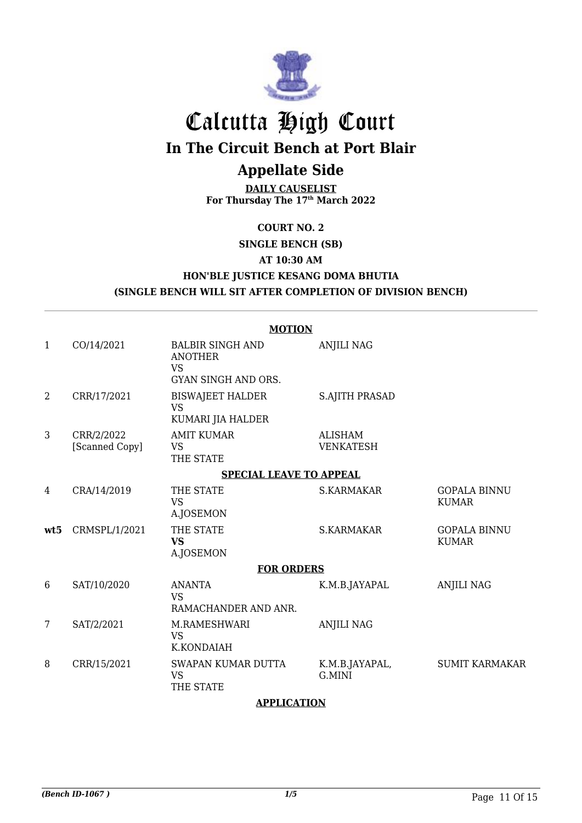

# Calcutta High Court **In The Circuit Bench at Port Blair**

# **Appellate Side**

**DAILY CAUSELIST For Thursday The 17th March 2022**

#### **COURT NO. 2**

## **SINGLE BENCH (SB) AT 10:30 AM HON'BLE JUSTICE KESANG DOMA BHUTIA (SINGLE BENCH WILL SIT AFTER COMPLETION OF DIVISION BENCH)**

|              | <b>MOTION</b>                  |                                                                                      |                                    |                                     |  |  |
|--------------|--------------------------------|--------------------------------------------------------------------------------------|------------------------------------|-------------------------------------|--|--|
| $\mathbf{1}$ | CO/14/2021                     | <b>BALBIR SINGH AND</b><br><b>ANOTHER</b><br><b>VS</b><br><b>GYAN SINGH AND ORS.</b> | <b>ANJILI NAG</b>                  |                                     |  |  |
| 2            | CRR/17/2021                    | <b>BISWAJEET HALDER</b><br><b>VS</b><br>KUMARI JIA HALDER                            | <b>S.AJITH PRASAD</b>              |                                     |  |  |
| 3            | CRR/2/2022<br>[Scanned Copy]   | <b>AMIT KUMAR</b><br><b>VS</b><br>THE STATE                                          | <b>ALISHAM</b><br><b>VENKATESH</b> |                                     |  |  |
|              | <b>SPECIAL LEAVE TO APPEAL</b> |                                                                                      |                                    |                                     |  |  |
| 4            | CRA/14/2019                    | THE STATE<br><b>VS</b><br>A.JOSEMON                                                  | <b>S.KARMAKAR</b>                  | <b>GOPALA BINNU</b><br><b>KUMAR</b> |  |  |
| wt.5         | CRMSPL/1/2021                  | THE STATE<br><b>VS</b><br>A.JOSEMON                                                  | <b>S.KARMAKAR</b>                  | <b>GOPALA BINNU</b><br><b>KUMAR</b> |  |  |
|              |                                | <b>FOR ORDERS</b>                                                                    |                                    |                                     |  |  |
| 6            | SAT/10/2020                    | <b>ANANTA</b><br><b>VS</b><br>RAMACHANDER AND ANR.                                   | K.M.B.JAYAPAL                      | <b>ANJILI NAG</b>                   |  |  |
| 7            | SAT/2/2021                     | M.RAMESHWARI<br><b>VS</b><br>K.KONDAIAH                                              | <b>ANJILI NAG</b>                  |                                     |  |  |
| 8            | CRR/15/2021                    | SWAPAN KUMAR DUTTA<br><b>VS</b><br>THE STATE                                         | K.M.B.JAYAPAL,<br>G.MINI           | <b>SUMIT KARMAKAR</b>               |  |  |

#### **APPLICATION**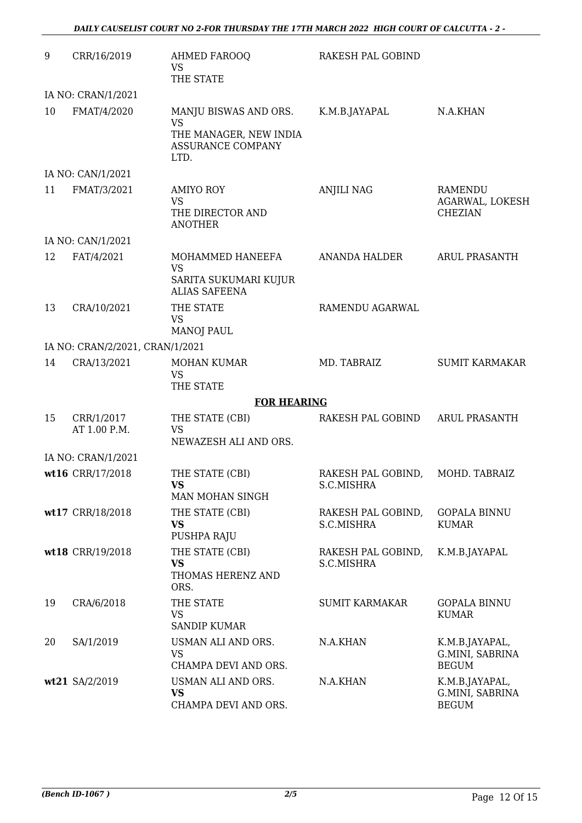| 9  | CRR/16/2019                     | <b>AHMED FAROOQ</b><br><b>VS</b><br>THE STATE                                                    | RAKESH PAL GOBIND                |                                                     |
|----|---------------------------------|--------------------------------------------------------------------------------------------------|----------------------------------|-----------------------------------------------------|
|    | IA NO: CRAN/1/2021              |                                                                                                  |                                  |                                                     |
| 10 | FMAT/4/2020                     | MANJU BISWAS AND ORS.<br><b>VS</b><br>THE MANAGER, NEW INDIA<br><b>ASSURANCE COMPANY</b><br>LTD. | K.M.B.JAYAPAL                    | N.A.KHAN                                            |
|    | IA NO: CAN/1/2021               |                                                                                                  |                                  |                                                     |
| 11 | FMAT/3/2021                     | <b>AMIYO ROY</b><br><b>VS</b><br>THE DIRECTOR AND<br><b>ANOTHER</b>                              | <b>ANJILI NAG</b>                | <b>RAMENDU</b><br>AGARWAL, LOKESH<br><b>CHEZIAN</b> |
|    | IA NO: CAN/1/2021               |                                                                                                  |                                  |                                                     |
| 12 | FAT/4/2021                      | MOHAMMED HANEEFA<br><b>VS</b><br>SARITA SUKUMARI KUJUR<br><b>ALIAS SAFEENA</b>                   | <b>ANANDA HALDER</b>             | <b>ARUL PRASANTH</b>                                |
| 13 | CRA/10/2021                     | THE STATE<br><b>VS</b><br><b>MANOJ PAUL</b>                                                      | RAMENDU AGARWAL                  |                                                     |
|    | IA NO: CRAN/2/2021, CRAN/1/2021 |                                                                                                  |                                  |                                                     |
| 14 | CRA/13/2021                     | <b>MOHAN KUMAR</b><br><b>VS</b><br>THE STATE                                                     | MD. TABRAIZ                      | <b>SUMIT KARMAKAR</b>                               |
|    |                                 | <b>FOR HEARING</b>                                                                               |                                  |                                                     |
| 15 | CRR/1/2017<br>AT 1.00 P.M.      | THE STATE (CBI)<br><b>VS</b><br>NEWAZESH ALI AND ORS.                                            | RAKESH PAL GOBIND                | <b>ARUL PRASANTH</b>                                |
|    | IA NO: CRAN/1/2021              |                                                                                                  |                                  |                                                     |
|    | wt16 CRR/17/2018                | THE STATE (CBI)<br><b>VS</b><br>MAN MOHAN SINGH                                                  | RAKESH PAL GOBIND,<br>S.C.MISHRA | MOHD. TABRAIZ                                       |
|    | wt17 CRR/18/2018                | THE STATE (CBI)<br><b>VS</b><br>PUSHPA RAJU                                                      | RAKESH PAL GOBIND,<br>S.C.MISHRA | <b>GOPALA BINNU</b><br><b>KUMAR</b>                 |
|    | wt18 CRR/19/2018                | THE STATE (CBI)<br><b>VS</b><br>THOMAS HERENZ AND<br>ORS.                                        | RAKESH PAL GOBIND,<br>S.C.MISHRA | K.M.B.JAYAPAL                                       |
| 19 | CRA/6/2018                      | THE STATE<br><b>VS</b><br><b>SANDIP KUMAR</b>                                                    | <b>SUMIT KARMAKAR</b>            | <b>GOPALA BINNU</b><br><b>KUMAR</b>                 |
| 20 | SA/1/2019                       | USMAN ALI AND ORS.<br><b>VS</b><br>CHAMPA DEVI AND ORS.                                          | N.A.KHAN                         | K.M.B.JAYAPAL,<br>G.MINI, SABRINA<br><b>BEGUM</b>   |
|    | wt21 SA/2/2019                  | USMAN ALI AND ORS.<br><b>VS</b><br>CHAMPA DEVI AND ORS.                                          | N.A.KHAN                         | K.M.B.JAYAPAL,<br>G.MINI, SABRINA<br><b>BEGUM</b>   |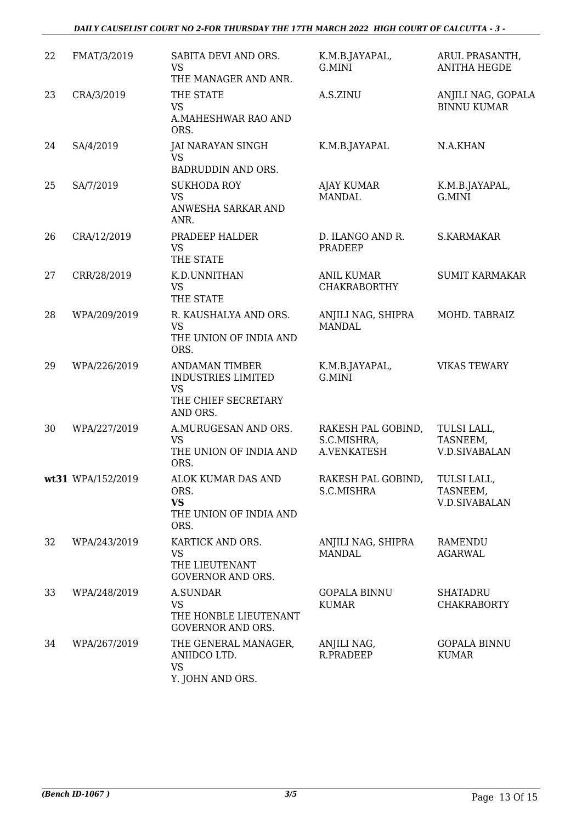#### *DAILY CAUSELIST COURT NO 2-FOR THURSDAY THE 17TH MARCH 2022 HIGH COURT OF CALCUTTA - 3 -*

| 22 | FMAT/3/2019       | SABITA DEVI AND ORS.<br><b>VS</b><br>THE MANAGER AND ANR.                                          | K.M.B.JAYAPAL,<br>G.MINI                         | ARUL PRASANTH,<br><b>ANITHA HEGDE</b>           |
|----|-------------------|----------------------------------------------------------------------------------------------------|--------------------------------------------------|-------------------------------------------------|
| 23 | CRA/3/2019        | THE STATE<br><b>VS</b><br>A.MAHESHWAR RAO AND<br>ORS.                                              | A.S.ZINU                                         | ANJILI NAG, GOPALA<br><b>BINNU KUMAR</b>        |
| 24 | SA/4/2019         | JAI NARAYAN SINGH<br><b>VS</b><br>BADRUDDIN AND ORS.                                               | K.M.B.JAYAPAL                                    | N.A.KHAN                                        |
| 25 | SA/7/2019         | <b>SUKHODA ROY</b><br><b>VS</b><br>ANWESHA SARKAR AND<br>ANR.                                      | <b>AJAY KUMAR</b><br><b>MANDAL</b>               | K.M.B.JAYAPAL,<br>G.MINI                        |
| 26 | CRA/12/2019       | PRADEEP HALDER<br><b>VS</b><br>THE STATE                                                           | D. ILANGO AND R.<br><b>PRADEEP</b>               | <b>S.KARMAKAR</b>                               |
| 27 | CRR/28/2019       | K.D.UNNITHAN<br><b>VS</b><br>THE STATE                                                             | <b>ANIL KUMAR</b><br><b>CHAKRABORTHY</b>         | <b>SUMIT KARMAKAR</b>                           |
| 28 | WPA/209/2019      | R. KAUSHALYA AND ORS.<br><b>VS</b><br>THE UNION OF INDIA AND<br>ORS.                               | ANJILI NAG, SHIPRA<br><b>MANDAL</b>              | MOHD. TABRAIZ                                   |
| 29 | WPA/226/2019      | <b>ANDAMAN TIMBER</b><br><b>INDUSTRIES LIMITED</b><br><b>VS</b><br>THE CHIEF SECRETARY<br>AND ORS. | K.M.B.JAYAPAL,<br>G.MINI                         | <b>VIKAS TEWARY</b>                             |
| 30 | WPA/227/2019      | A.MURUGESAN AND ORS.<br>VS<br>THE UNION OF INDIA AND<br>ORS.                                       | RAKESH PAL GOBIND,<br>S.C.MISHRA,<br>A.VENKATESH | TULSI LALL,<br>TASNEEM,<br><b>V.D.SIVABALAN</b> |
|    | wt31 WPA/152/2019 | ALOK KUMAR DAS AND<br>ORS.<br><b>VS</b><br>THE UNION OF INDIA AND<br>ORS.                          | RAKESH PAL GOBIND,<br>S.C.MISHRA                 | TULSI LALL,<br>TASNEEM,<br><b>V.D.SIVABALAN</b> |
| 32 | WPA/243/2019      | KARTICK AND ORS.<br><b>VS</b><br>THE LIEUTENANT<br><b>GOVERNOR AND ORS.</b>                        | ANJILI NAG, SHIPRA<br><b>MANDAL</b>              | <b>RAMENDU</b><br><b>AGARWAL</b>                |
| 33 | WPA/248/2019      | <b>A.SUNDAR</b><br><b>VS</b><br>THE HONBLE LIEUTENANT<br><b>GOVERNOR AND ORS.</b>                  | <b>GOPALA BINNU</b><br><b>KUMAR</b>              | <b>SHATADRU</b><br><b>CHAKRABORTY</b>           |
| 34 | WPA/267/2019      | THE GENERAL MANAGER,<br>ANIIDCO LTD.<br><b>VS</b><br>Y. JOHN AND ORS.                              | ANJILI NAG,<br>R.PRADEEP                         | <b>GOPALA BINNU</b><br><b>KUMAR</b>             |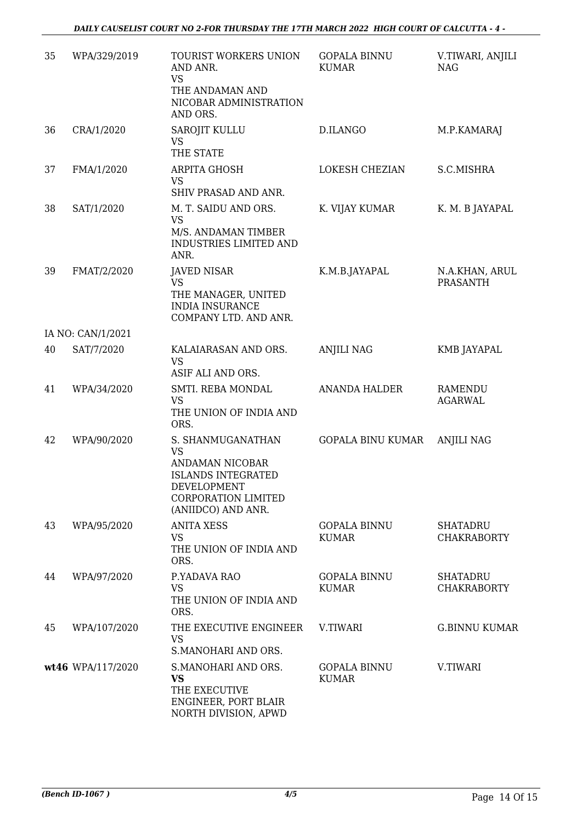| 35 | WPA/329/2019      | TOURIST WORKERS UNION<br>AND ANR.<br><b>VS</b><br>THE ANDAMAN AND<br>NICOBAR ADMINISTRATION<br>AND ORS.                                    | <b>GOPALA BINNU</b><br><b>KUMAR</b> | V.TIWARI, ANJILI<br><b>NAG</b>        |
|----|-------------------|--------------------------------------------------------------------------------------------------------------------------------------------|-------------------------------------|---------------------------------------|
| 36 | CRA/1/2020        | SAROJIT KULLU<br>VS<br>THE STATE                                                                                                           | D.ILANGO                            | M.P.KAMARAJ                           |
| 37 | FMA/1/2020        | ARPITA GHOSH<br><b>VS</b><br>SHIV PRASAD AND ANR.                                                                                          | LOKESH CHEZIAN                      | S.C.MISHRA                            |
| 38 | SAT/1/2020        | M. T. SAIDU AND ORS.<br><b>VS</b><br>M/S. ANDAMAN TIMBER<br>INDUSTRIES LIMITED AND<br>ANR.                                                 | K. VIJAY KUMAR                      | K. M. B JAYAPAL                       |
| 39 | FMAT/2/2020       | <b>JAVED NISAR</b><br><b>VS</b><br>THE MANAGER, UNITED<br><b>INDIA INSURANCE</b><br>COMPANY LTD. AND ANR.                                  | K.M.B.JAYAPAL                       | N.A.KHAN, ARUL<br><b>PRASANTH</b>     |
|    | IA NO: CAN/1/2021 |                                                                                                                                            |                                     |                                       |
| 40 | SAT/7/2020        | KALAIARASAN AND ORS.<br><b>VS</b><br>ASIF ALI AND ORS.                                                                                     | <b>ANJILI NAG</b>                   | KMB JAYAPAL                           |
| 41 | WPA/34/2020       | SMTI. REBA MONDAL<br><b>VS</b><br>THE UNION OF INDIA AND<br>ORS.                                                                           | <b>ANANDA HALDER</b>                | <b>RAMENDU</b><br><b>AGARWAL</b>      |
| 42 | WPA/90/2020       | S. SHANMUGANATHAN<br><b>VS</b><br>ANDAMAN NICOBAR<br><b>ISLANDS INTEGRATED</b><br>DEVELOPMENT<br>CORPORATION LIMITED<br>(ANIIDCO) AND ANR. | GOPALA BINU KUMAR                   | <b>ANJILI NAG</b>                     |
| 43 | WPA/95/2020       | <b>ANITA XESS</b><br><b>VS</b><br>THE UNION OF INDIA AND<br>ORS.                                                                           | <b>GOPALA BINNU</b><br><b>KUMAR</b> | <b>SHATADRU</b><br><b>CHAKRABORTY</b> |
| 44 | WPA/97/2020       | P.YADAVA RAO<br><b>VS</b><br>THE UNION OF INDIA AND<br>ORS.                                                                                | <b>GOPALA BINNU</b><br><b>KUMAR</b> | <b>SHATADRU</b><br><b>CHAKRABORTY</b> |
| 45 | WPA/107/2020      | THE EXECUTIVE ENGINEER<br><b>VS</b><br>S.MANOHARI AND ORS.                                                                                 | V.TIWARI                            | <b>G.BINNU KUMAR</b>                  |
|    | wt46 WPA/117/2020 | S.MANOHARI AND ORS.<br><b>VS</b><br>THE EXECUTIVE<br>ENGINEER, PORT BLAIR<br>NORTH DIVISION, APWD                                          | <b>GOPALA BINNU</b><br><b>KUMAR</b> | V.TIWARI                              |